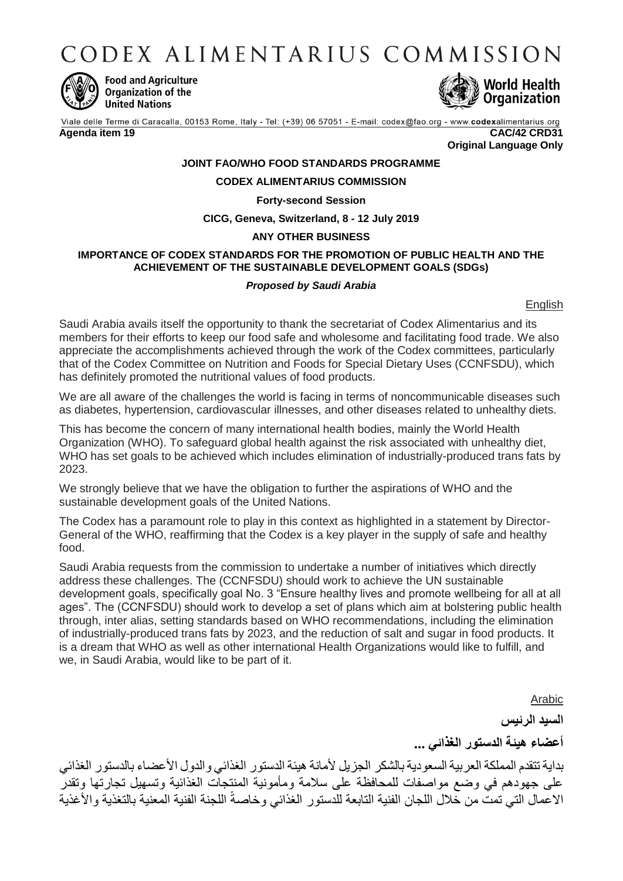CODEX ALIMENTARIUS COMMISSION



**Food and Agriculture** Organization of the **United Nations** 



Viale delle Terme di Caracalla, 00153 Rome, Italy - Tel: (+39) 06 57051 - E-mail: codex@fao.org - www.codexalimentarius.org **Agenda item 19 CAC/42 CRD31**

**Original Language Only**

# **JOINT FAO/WHO FOOD STANDARDS PROGRAMME**

## **CODEX ALIMENTARIUS COMMISSION**

### **Forty-second Session**

**CICG, Geneva, Switzerland, 8 - 12 July 2019**

## **ANY OTHER BUSINESS**

# **IMPORTANCE OF CODEX STANDARDS FOR THE PROMOTION OF PUBLIC HEALTH AND THE ACHIEVEMENT OF THE SUSTAINABLE DEVELOPMENT GOALS (SDGs)**

## *Proposed by Saudi Arabia*

**English** 

Saudi Arabia avails itself the opportunity to thank the secretariat of Codex Alimentarius and its members for their efforts to keep our food safe and wholesome and facilitating food trade. We also appreciate the accomplishments achieved through the work of the Codex committees, particularly that of the Codex Committee on Nutrition and Foods for Special Dietary Uses (CCNFSDU), which has definitely promoted the nutritional values of food products.

We are all aware of the challenges the world is facing in terms of noncommunicable diseases such as diabetes, hypertension, cardiovascular illnesses, and other diseases related to unhealthy diets.

This has become the concern of many international health bodies, mainly the World Health Organization (WHO). To safeguard global health against the risk associated with unhealthy diet, WHO has set goals to be achieved which includes elimination of industrially-produced trans fats by 2023.

We strongly believe that we have the obligation to further the aspirations of WHO and the sustainable development goals of the United Nations.

The Codex has a paramount role to play in this context as highlighted in a statement by Director-General of the WHO, reaffirming that the Codex is a key player in the supply of safe and healthy food.

Saudi Arabia requests from the commission to undertake a number of initiatives which directly address these challenges. The (CCNFSDU) should work to achieve the UN sustainable development goals, specifically goal No. 3 "Ensure healthy lives and promote wellbeing for all at all ages". The (CCNFSDU) should work to develop a set of plans which aim at bolstering public health through, inter alias, setting standards based on WHO recommendations, including the elimination of industrially-produced trans fats by 2023, and the reduction of salt and sugar in food products. It is a dream that WHO as well as other international Health Organizations would like to fulfill, and we, in Saudi Arabia, would like to be part of it.

> Arabic **السيد الرئيس أعضاء هيئة الدستور الغذائي ...**

بداية تتقدم المملكة العربية السعودية بالشكر الجزيل لأمانة هيئة الدستور الغذائي والدول الأعضاء بالدستور الغذائي على جهودهم في وضع مواصفات للمحافظة على سالمة ومأمونية المنتجات الغذائية وتسهيل تجارتها وتقدر ًالاعمال التي تمت من خلال اللجان الفنية التابعة للدستور الغذائي وخاصة اللجنة الفنية المعنية بالتغذية والأغذية